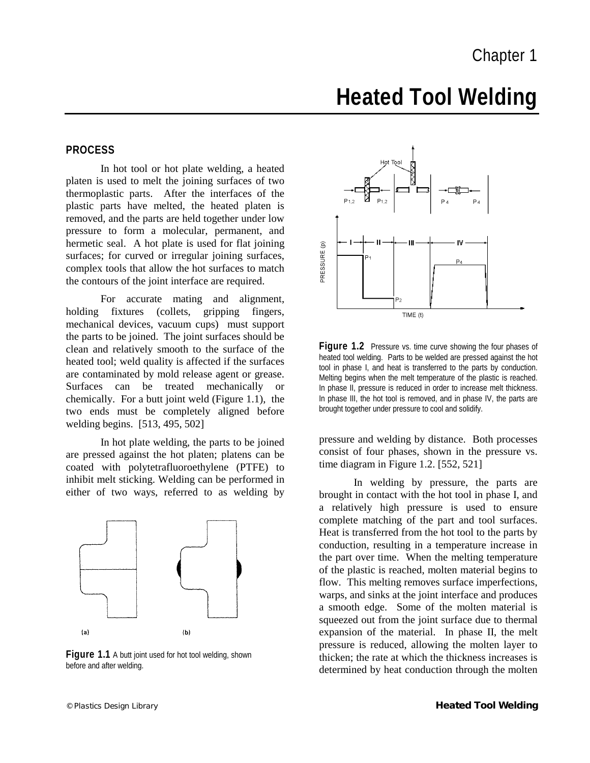# **Heated Tool Welding**

# **PROCESS**

 In hot tool or hot plate welding, a heated platen is used to melt the joining surfaces of two thermoplastic parts. After the interfaces of the plastic parts have melted, the heated platen is removed, and the parts are held together under low pressure to form a molecular, permanent, and hermetic seal. A hot plate is used for flat joining surfaces; for curved or irregular joining surfaces, complex tools that allow the hot surfaces to match the contours of the joint interface are required.

 For accurate mating and alignment, holding fixtures (collets, gripping fingers, mechanical devices, vacuum cups) must support the parts to be joined. The joint surfaces should be clean and relatively smooth to the surface of the heated tool; weld quality is affected if the surfaces are contaminated by mold release agent or grease. Surfaces can be treated mechanically or chemically. For a butt joint weld (Figure 1.1), the two ends must be completely aligned before welding begins. [513, 495, 502]

In hot plate welding, the parts to be joined are pressed against the hot platen; platens can be coated with polytetrafluoroethylene (PTFE) to inhibit melt sticking. Welding can be performed in either of two ways, referred to as welding by



**Figure 1.1** A butt joint used for hot tool welding, shown before and after welding.



**Figure 1.2** Pressure vs. time curve showing the four phases of heated tool welding. Parts to be welded are pressed against the hot tool in phase I, and heat is transferred to the parts by conduction. Melting begins when the melt temperature of the plastic is reached. In phase II, pressure is reduced in order to increase melt thickness. In phase III, the hot tool is removed, and in phase IV, the parts are brought together under pressure to cool and solidify.

pressure and welding by distance. Both processes consist of four phases, shown in the pressure vs. time diagram in Figure 1.2. [552, 521]

 In welding by pressure, the parts are brought in contact with the hot tool in phase I, and a relatively high pressure is used to ensure complete matching of the part and tool surfaces. Heat is transferred from the hot tool to the parts by conduction, resulting in a temperature increase in the part over time. When the melting temperature of the plastic is reached, molten material begins to flow. This melting removes surface imperfections, warps, and sinks at the joint interface and produces a smooth edge. Some of the molten material is squeezed out from the joint surface due to thermal expansion of the material. In phase II, the melt pressure is reduced, allowing the molten layer to thicken; the rate at which the thickness increases is determined by heat conduction through the molten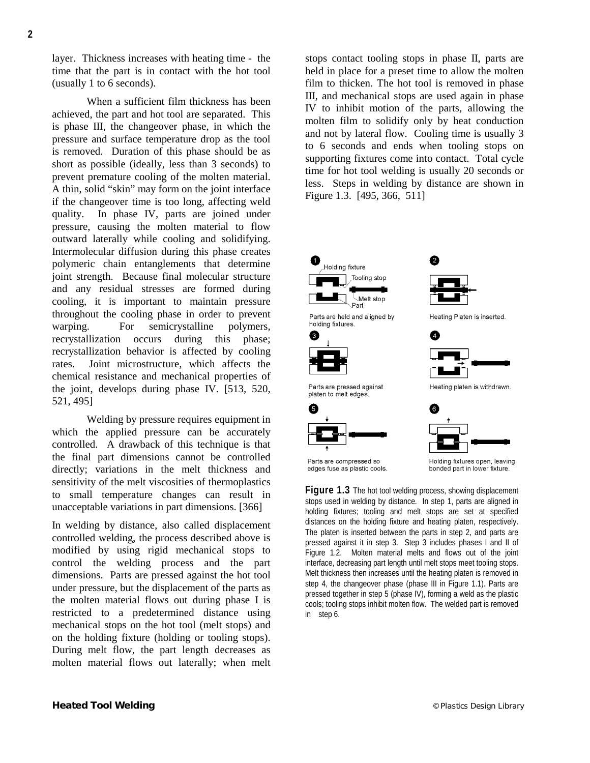layer. Thickness increases with heating time - the time that the part is in contact with the hot tool (usually 1 to 6 seconds).

 When a sufficient film thickness has been achieved, the part and hot tool are separated. This is phase III, the changeover phase, in which the pressure and surface temperature drop as the tool is removed. Duration of this phase should be as short as possible (ideally, less than 3 seconds) to prevent premature cooling of the molten material. A thin, solid "skin" may form on the joint interface if the changeover time is too long, affecting weld quality. In phase IV, parts are joined under pressure, causing the molten material to flow outward laterally while cooling and solidifying. Intermolecular diffusion during this phase creates polymeric chain entanglements that determine joint strength. Because final molecular structure and any residual stresses are formed during cooling, it is important to maintain pressure throughout the cooling phase in order to prevent warping. For semicrystalline polymers, recrystallization occurs during this phase; recrystallization behavior is affected by cooling rates. Joint microstructure, which affects the chemical resistance and mechanical properties of the joint, develops during phase IV. [513, 520, 521, 495]

 Welding by pressure requires equipment in which the applied pressure can be accurately controlled. A drawback of this technique is that the final part dimensions cannot be controlled directly; variations in the melt thickness and sensitivity of the melt viscosities of thermoplastics to small temperature changes can result in unacceptable variations in part dimensions. [366]

In welding by distance, also called displacement controlled welding, the process described above is modified by using rigid mechanical stops to control the welding process and the part dimensions. Parts are pressed against the hot tool under pressure, but the displacement of the parts as the molten material flows out during phase I is restricted to a predetermined distance using mechanical stops on the hot tool (melt stops) and on the holding fixture (holding or tooling stops). During melt flow, the part length decreases as molten material flows out laterally; when melt stops contact tooling stops in phase II, parts are held in place for a preset time to allow the molten film to thicken. The hot tool is removed in phase III, and mechanical stops are used again in phase IV to inhibit motion of the parts, allowing the molten film to solidify only by heat conduction and not by lateral flow. Cooling time is usually 3 to 6 seconds and ends when tooling stops on supporting fixtures come into contact. Total cycle time for hot tool welding is usually 20 seconds or less. Steps in welding by distance are shown in Figure 1.3. [495, 366, 511]



**Figure 1.3** The hot tool welding process, showing displacement stops used in welding by distance. In step 1, parts are aligned in holding fixtures; tooling and melt stops are set at specified distances on the holding fixture and heating platen, respectively. The platen is inserted between the parts in step 2, and parts are pressed against it in step 3. Step 3 includes phases I and II of Figure 1.2. Molten material melts and flows out of the joint interface, decreasing part length until melt stops meet tooling stops. Melt thickness then increases until the heating platen is removed in step 4, the changeover phase (phase III in Figure 1.1). Parts are pressed together in step 5 (phase IV), forming a weld as the plastic cools; tooling stops inhibit molten flow. The welded part is removed in step 6.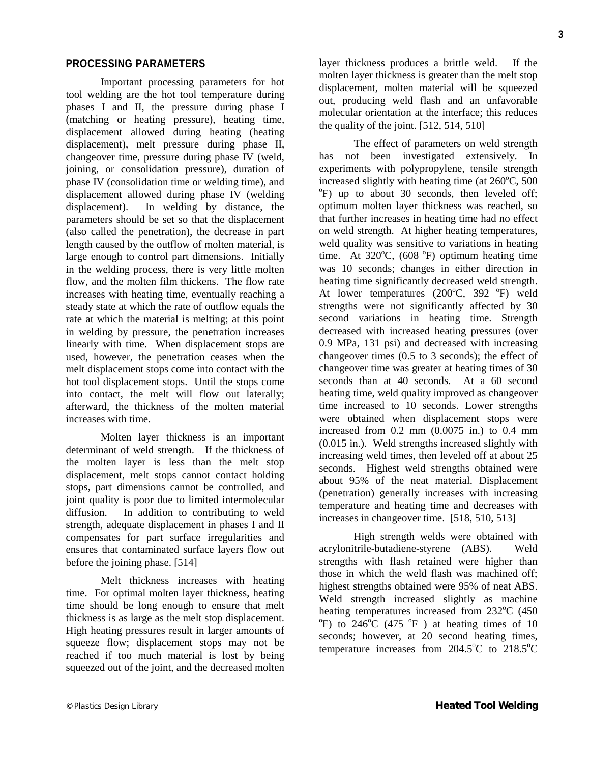## **PROCESSING PARAMETERS**

 Important processing parameters for hot tool welding are the hot tool temperature during phases I and II, the pressure during phase I (matching or heating pressure), heating time, displacement allowed during heating (heating displacement), melt pressure during phase II, changeover time, pressure during phase IV (weld, joining, or consolidation pressure), duration of phase IV (consolidation time or welding time), and displacement allowed during phase IV (welding displacement). In welding by distance, the parameters should be set so that the displacement (also called the penetration), the decrease in part length caused by the outflow of molten material, is large enough to control part dimensions. Initially in the welding process, there is very little molten flow, and the molten film thickens. The flow rate increases with heating time, eventually reaching a steady state at which the rate of outflow equals the rate at which the material is melting; at this point in welding by pressure, the penetration increases linearly with time. When displacement stops are used, however, the penetration ceases when the melt displacement stops come into contact with the hot tool displacement stops. Until the stops come into contact, the melt will flow out laterally; afterward, the thickness of the molten material increases with time.

 Molten layer thickness is an important determinant of weld strength. If the thickness of the molten layer is less than the melt stop displacement, melt stops cannot contact holding stops, part dimensions cannot be controlled, and joint quality is poor due to limited intermolecular diffusion. In addition to contributing to weld strength, adequate displacement in phases I and II compensates for part surface irregularities and ensures that contaminated surface layers flow out before the joining phase. [514]

 Melt thickness increases with heating time. For optimal molten layer thickness, heating time should be long enough to ensure that melt thickness is as large as the melt stop displacement. High heating pressures result in larger amounts of squeeze flow; displacement stops may not be reached if too much material is lost by being squeezed out of the joint, and the decreased molten

layer thickness produces a brittle weld. If the molten layer thickness is greater than the melt stop displacement, molten material will be squeezed out, producing weld flash and an unfavorable molecular orientation at the interface; this reduces the quality of the joint. [512, 514, 510]

 The effect of parameters on weld strength has not been investigated extensively. In experiments with polypropylene, tensile strength increased slightly with heating time (at  $260^{\circ}$ C, 500 <sup>o</sup>F) up to about 30 seconds, then leveled off; optimum molten layer thickness was reached, so that further increases in heating time had no effect on weld strength. At higher heating temperatures, weld quality was sensitive to variations in heating time. At  $320^{\circ}$ C,  $(608^{\circ}F)$  optimum heating time was 10 seconds; changes in either direction in heating time significantly decreased weld strength. At lower temperatures (200°C, 392 °F) weld strengths were not significantly affected by 30 second variations in heating time. Strength decreased with increased heating pressures (over 0.9 MPa, 131 psi) and decreased with increasing changeover times (0.5 to 3 seconds); the effect of changeover time was greater at heating times of 30 seconds than at 40 seconds. At a 60 second heating time, weld quality improved as changeover time increased to 10 seconds. Lower strengths were obtained when displacement stops were increased from  $0.2$  mm  $(0.0075$  in.) to  $0.4$  mm (0.015 in.). Weld strengths increased slightly with increasing weld times, then leveled off at about 25 seconds. Highest weld strengths obtained were about 95% of the neat material. Displacement (penetration) generally increases with increasing temperature and heating time and decreases with increases in changeover time. [518, 510, 513]

 High strength welds were obtained with acrylonitrile-butadiene-styrene (ABS). Weld strengths with flash retained were higher than those in which the weld flash was machined off; highest strengths obtained were 95% of neat ABS. Weld strength increased slightly as machine heating temperatures increased from 232°C (450  $^{\circ}$ F) to 246 $^{\circ}$ C (475 $^{\circ}$ F) at heating times of 10 seconds; however, at 20 second heating times, temperature increases from  $204.5^{\circ}$ C to  $218.5^{\circ}$ C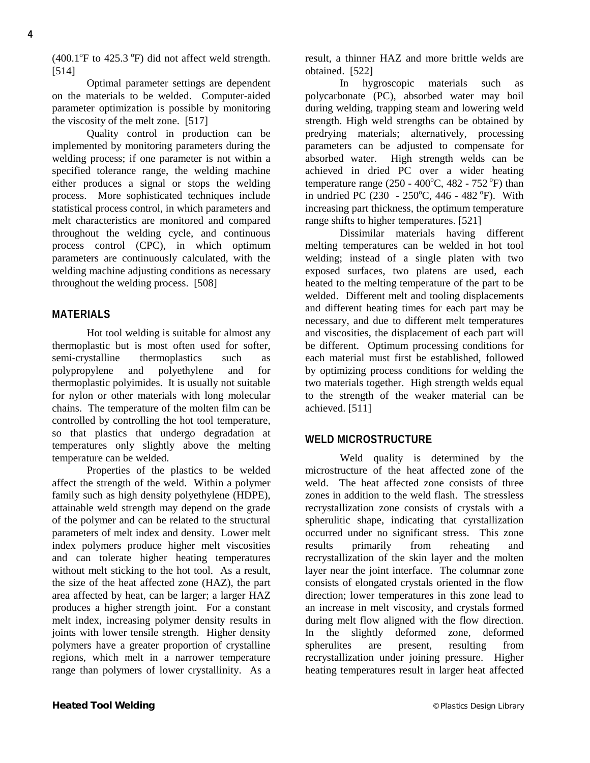$(400.1^{\circ}$ F to  $425.3^{\circ}$ F) did not affect weld strength. [514]

 Optimal parameter settings are dependent on the materials to be welded. Computer-aided parameter optimization is possible by monitoring the viscosity of the melt zone. [517]

 Quality control in production can be implemented by monitoring parameters during the welding process; if one parameter is not within a specified tolerance range, the welding machine either produces a signal or stops the welding process. More sophisticated techniques include statistical process control, in which parameters and melt characteristics are monitored and compared throughout the welding cycle, and continuous process control (CPC), in which optimum parameters are continuously calculated, with the welding machine adjusting conditions as necessary throughout the welding process. [508]

# **MATERIALS**

 Hot tool welding is suitable for almost any thermoplastic but is most often used for softer, semi-crystalline thermoplastics such as polypropylene and polyethylene and for thermoplastic polyimides. It is usually not suitable for nylon or other materials with long molecular chains. The temperature of the molten film can be controlled by controlling the hot tool temperature, so that plastics that undergo degradation at temperatures only slightly above the melting temperature can be welded.

 Properties of the plastics to be welded affect the strength of the weld. Within a polymer family such as high density polyethylene (HDPE), attainable weld strength may depend on the grade of the polymer and can be related to the structural parameters of melt index and density. Lower melt index polymers produce higher melt viscosities and can tolerate higher heating temperatures without melt sticking to the hot tool. As a result, the size of the heat affected zone (HAZ), the part area affected by heat, can be larger; a larger HAZ produces a higher strength joint. For a constant melt index, increasing polymer density results in joints with lower tensile strength. Higher density polymers have a greater proportion of crystalline regions, which melt in a narrower temperature range than polymers of lower crystallinity. As a result, a thinner HAZ and more brittle welds are obtained. [522]

 In hygroscopic materials such as polycarbonate (PC), absorbed water may boil during welding, trapping steam and lowering weld strength. High weld strengths can be obtained by predrying materials; alternatively, processing parameters can be adjusted to compensate for absorbed water. High strength welds can be achieved in dried PC over a wider heating temperature range  $(250 - 400^{\circ}C, 482 - 752^{\circ}F)$  than in undried PC (230 - 250°C, 446 - 482 °F). With increasing part thickness, the optimum temperature range shifts to higher temperatures. [521]

 Dissimilar materials having different melting temperatures can be welded in hot tool welding; instead of a single platen with two exposed surfaces, two platens are used, each heated to the melting temperature of the part to be welded. Different melt and tooling displacements and different heating times for each part may be necessary, and due to different melt temperatures and viscosities, the displacement of each part will be different. Optimum processing conditions for each material must first be established, followed by optimizing process conditions for welding the two materials together. High strength welds equal to the strength of the weaker material can be achieved. [511]

## **WELD MICROSTRUCTURE**

 Weld quality is determined by the microstructure of the heat affected zone of the weld. The heat affected zone consists of three zones in addition to the weld flash. The stressless recrystallization zone consists of crystals with a spherulitic shape, indicating that cyrstallization occurred under no significant stress. This zone results primarily from reheating and recrystallization of the skin layer and the molten layer near the joint interface. The columnar zone consists of elongated crystals oriented in the flow direction; lower temperatures in this zone lead to an increase in melt viscosity, and crystals formed during melt flow aligned with the flow direction. In the slightly deformed zone, deformed spherulites are present, resulting from recrystallization under joining pressure. Higher heating temperatures result in larger heat affected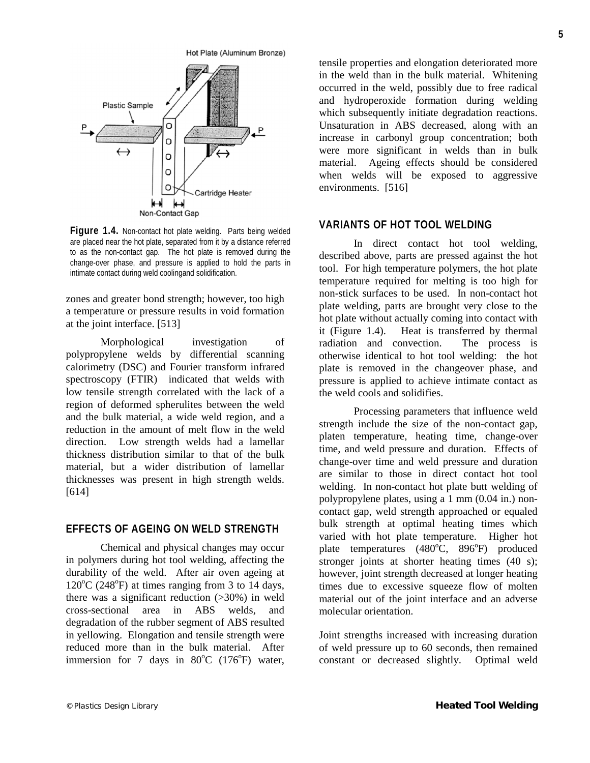

**Figure 1.4.** Non-contact hot plate welding. Parts being welded are placed near the hot plate, separated from it by a distance referred to as the non-contact gap. The hot plate is removed during the change-over phase, and pressure is applied to hold the parts in intimate contact during weld coolingand solidification.

zones and greater bond strength; however, too high a temperature or pressure results in void formation at the joint interface. [513]

 Morphological investigation of polypropylene welds by differential scanning calorimetry (DSC) and Fourier transform infrared spectroscopy (FTIR) indicated that welds with low tensile strength correlated with the lack of a region of deformed spherulites between the weld and the bulk material, a wide weld region, and a reduction in the amount of melt flow in the weld direction. Low strength welds had a lamellar thickness distribution similar to that of the bulk material, but a wider distribution of lamellar thicknesses was present in high strength welds. [614]

## **EFFECTS OF AGEING ON WELD STRENGTH**

 Chemical and physical changes may occur in polymers during hot tool welding, affecting the durability of the weld. After air oven ageing at  $120^{\circ}$ C (248 $^{\circ}$ F) at times ranging from 3 to 14 days, there was a significant reduction  $($ >30%) in weld cross-sectional area in ABS welds, and degradation of the rubber segment of ABS resulted in yellowing. Elongation and tensile strength were reduced more than in the bulk material. After immersion for 7 days in  $80^{\circ}$ C (176 $^{\circ}$ F) water,

tensile properties and elongation deteriorated more in the weld than in the bulk material. Whitening occurred in the weld, possibly due to free radical and hydroperoxide formation during welding which subsequently initiate degradation reactions. Unsaturation in ABS decreased, along with an increase in carbonyl group concentration; both were more significant in welds than in bulk material. Ageing effects should be considered when welds will be exposed to aggressive environments. [516]

# **VARIANTS OF HOT TOOL WELDING**

 In direct contact hot tool welding, described above, parts are pressed against the hot tool. For high temperature polymers, the hot plate temperature required for melting is too high for non-stick surfaces to be used. In non-contact hot plate welding, parts are brought very close to the hot plate without actually coming into contact with it (Figure 1.4). Heat is transferred by thermal radiation and convection. The process is otherwise identical to hot tool welding: the hot plate is removed in the changeover phase, and pressure is applied to achieve intimate contact as the weld cools and solidifies.

 Processing parameters that influence weld strength include the size of the non-contact gap, platen temperature, heating time, change-over time, and weld pressure and duration. Effects of change-over time and weld pressure and duration are similar to those in direct contact hot tool welding. In non-contact hot plate butt welding of polypropylene plates, using a 1 mm (0.04 in.) noncontact gap, weld strength approached or equaled bulk strength at optimal heating times which varied with hot plate temperature. Higher hot plate temperatures  $(480^{\circ}\text{C}, 896^{\circ}\text{F})$  produced stronger joints at shorter heating times (40 s); however, joint strength decreased at longer heating times due to excessive squeeze flow of molten material out of the joint interface and an adverse molecular orientation.

Joint strengths increased with increasing duration of weld pressure up to 60 seconds, then remained constant or decreased slightly. Optimal weld **5**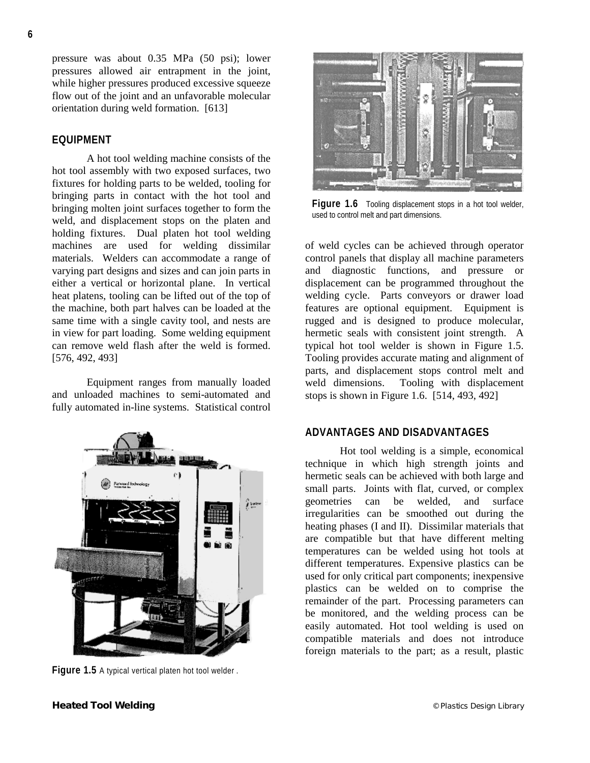pressure was about 0.35 MPa (50 psi); lower pressures allowed air entrapment in the joint, while higher pressures produced excessive squeeze flow out of the joint and an unfavorable molecular orientation during weld formation. [613]

## **EQUIPMENT**

 A hot tool welding machine consists of the hot tool assembly with two exposed surfaces, two fixtures for holding parts to be welded, tooling for bringing parts in contact with the hot tool and bringing molten joint surfaces together to form the weld, and displacement stops on the platen and holding fixtures. Dual platen hot tool welding machines are used for welding dissimilar materials. Welders can accommodate a range of varying part designs and sizes and can join parts in either a vertical or horizontal plane. In vertical heat platens, tooling can be lifted out of the top of the machine, both part halves can be loaded at the same time with a single cavity tool, and nests are in view for part loading. Some welding equipment can remove weld flash after the weld is formed. [576, 492, 493]

 Equipment ranges from manually loaded and unloaded machines to semi-automated and fully automated in-line systems. Statistical control



**Figure 1.5** A typical vertical platen hot tool welder .



**Figure 1.6** Tooling displacement stops in a hot tool welder, used to control melt and part dimensions.

of weld cycles can be achieved through operator control panels that display all machine parameters and diagnostic functions, and pressure or displacement can be programmed throughout the welding cycle. Parts conveyors or drawer load features are optional equipment. Equipment is rugged and is designed to produce molecular, hermetic seals with consistent joint strength. A typical hot tool welder is shown in Figure 1.5. Tooling provides accurate mating and alignment of parts, and displacement stops control melt and weld dimensions. Tooling with displacement stops is shown in Figure 1.6. [514, 493, 492]

### **ADVANTAGES AND DISADVANTAGES**

 Hot tool welding is a simple, economical technique in which high strength joints and hermetic seals can be achieved with both large and small parts. Joints with flat, curved, or complex geometries can be welded, and surface irregularities can be smoothed out during the heating phases (I and II). Dissimilar materials that are compatible but that have different melting temperatures can be welded using hot tools at different temperatures. Expensive plastics can be used for only critical part components; inexpensive plastics can be welded on to comprise the remainder of the part. Processing parameters can be monitored, and the welding process can be easily automated. Hot tool welding is used on compatible materials and does not introduce foreign materials to the part; as a result, plastic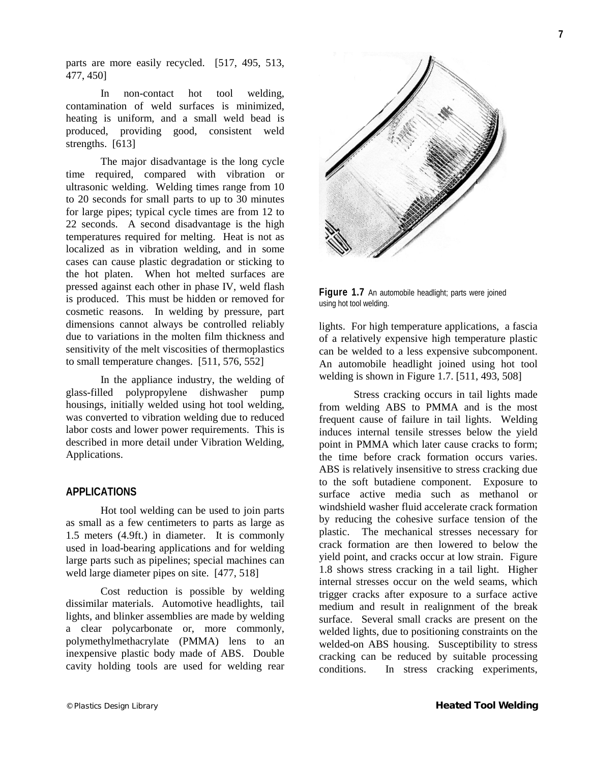parts are more easily recycled. [517, 495, 513, 477, 450]

 In non-contact hot tool welding, contamination of weld surfaces is minimized, heating is uniform, and a small weld bead is produced, providing good, consistent weld strengths. [613]

 The major disadvantage is the long cycle time required, compared with vibration or ultrasonic welding. Welding times range from 10 to 20 seconds for small parts to up to 30 minutes for large pipes; typical cycle times are from 12 to 22 seconds. A second disadvantage is the high temperatures required for melting. Heat is not as localized as in vibration welding, and in some cases can cause plastic degradation or sticking to the hot platen. When hot melted surfaces are pressed against each other in phase IV, weld flash is produced. This must be hidden or removed for cosmetic reasons. In welding by pressure, part dimensions cannot always be controlled reliably due to variations in the molten film thickness and sensitivity of the melt viscosities of thermoplastics to small temperature changes. [511, 576, 552]

 In the appliance industry, the welding of glass-filled polypropylene dishwasher pump housings, initially welded using hot tool welding, was converted to vibration welding due to reduced labor costs and lower power requirements. This is described in more detail under Vibration Welding, Applications.

## **APPLICATIONS**

 Hot tool welding can be used to join parts as small as a few centimeters to parts as large as 1.5 meters (4.9ft.) in diameter. It is commonly used in load-bearing applications and for welding large parts such as pipelines; special machines can weld large diameter pipes on site. [477, 518]

 Cost reduction is possible by welding dissimilar materials. Automotive headlights, tail lights, and blinker assemblies are made by welding a clear polycarbonate or, more commonly, polymethylmethacrylate (PMMA) lens to an inexpensive plastic body made of ABS. Double cavity holding tools are used for welding rear



**Figure 1.7** An automobile headlight; parts were joined using hot tool welding.

lights. For high temperature applications, a fascia of a relatively expensive high temperature plastic can be welded to a less expensive subcomponent. An automobile headlight joined using hot tool welding is shown in Figure 1.7. [511, 493, 508]

 Stress cracking occurs in tail lights made from welding ABS to PMMA and is the most frequent cause of failure in tail lights. Welding induces internal tensile stresses below the yield point in PMMA which later cause cracks to form; the time before crack formation occurs varies. ABS is relatively insensitive to stress cracking due to the soft butadiene component. Exposure to surface active media such as methanol or windshield washer fluid accelerate crack formation by reducing the cohesive surface tension of the plastic. The mechanical stresses necessary for crack formation are then lowered to below the yield point, and cracks occur at low strain. Figure 1.8 shows stress cracking in a tail light. Higher internal stresses occur on the weld seams, which trigger cracks after exposure to a surface active medium and result in realignment of the break surface. Several small cracks are present on the welded lights, due to positioning constraints on the welded-on ABS housing. Susceptibility to stress cracking can be reduced by suitable processing conditions. In stress cracking experiments,